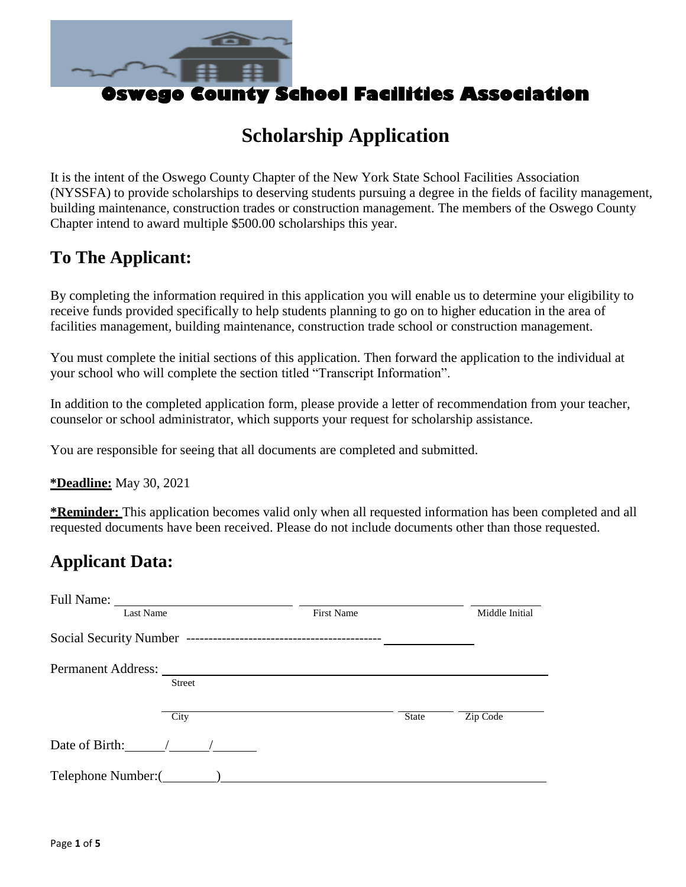

# **Scholarship Application**

It is the intent of the Oswego County Chapter of the New York State School Facilities Association (NYSSFA) to provide scholarships to deserving students pursuing a degree in the fields of facility management, building maintenance, construction trades or construction management. The members of the Oswego County Chapter intend to award multiple \$500.00 scholarships this year.

## **To The Applicant:**

By completing the information required in this application you will enable us to determine your eligibility to receive funds provided specifically to help students planning to go on to higher education in the area of facilities management, building maintenance, construction trade school or construction management.

You must complete the initial sections of this application. Then forward the application to the individual at your school who will complete the section titled "Transcript Information".

In addition to the completed application form, please provide a letter of recommendation from your teacher, counselor or school administrator, which supports your request for scholarship assistance.

You are responsible for seeing that all documents are completed and submitted.

**\*Deadline:** May 30, 2021

**\*Reminder:** This application becomes valid only when all requested information has been completed and all requested documents have been received. Please do not include documents other than those requested.

### **Applicant Data:**

| Full Name:         |               |                   |              |                |
|--------------------|---------------|-------------------|--------------|----------------|
| Last Name          |               | <b>First Name</b> |              | Middle Initial |
|                    |               |                   |              |                |
| Permanent Address: |               |                   |              |                |
|                    | <b>Street</b> |                   |              |                |
|                    | City          |                   | <b>State</b> | Zip Code       |
| Date of Birth:     |               |                   |              |                |
| Telephone Number:( |               |                   |              |                |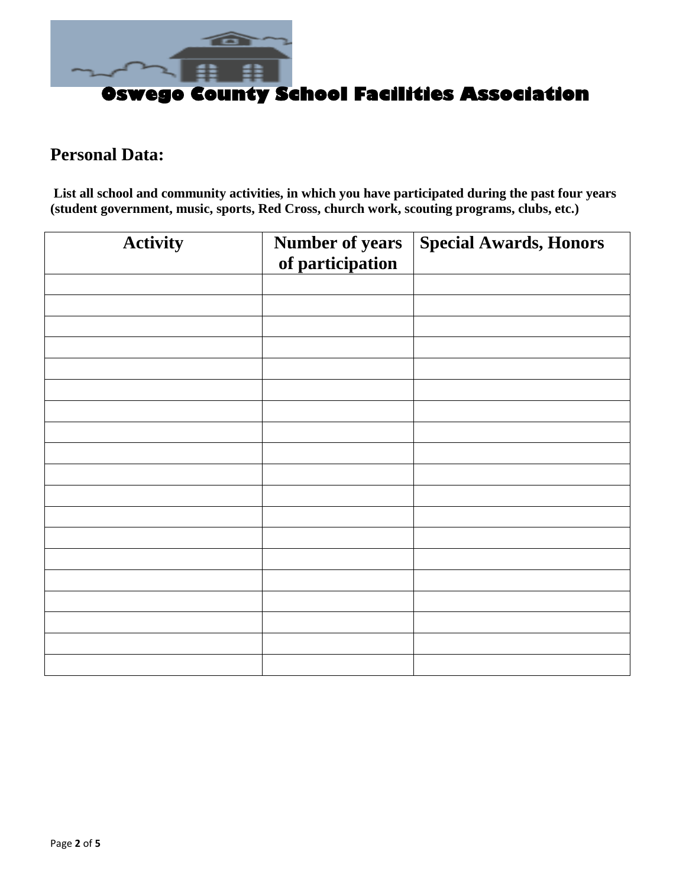

#### **Personal Data:**

**List all school and community activities, in which you have participated during the past four years (student government, music, sports, Red Cross, church work, scouting programs, clubs, etc.)**

| <b>Activity</b> | <b>Number of years</b><br>of participation | <b>Special Awards, Honors</b> |  |
|-----------------|--------------------------------------------|-------------------------------|--|
|                 |                                            |                               |  |
|                 |                                            |                               |  |
|                 |                                            |                               |  |
|                 |                                            |                               |  |
|                 |                                            |                               |  |
|                 |                                            |                               |  |
|                 |                                            |                               |  |
|                 |                                            |                               |  |
|                 |                                            |                               |  |
|                 |                                            |                               |  |
|                 |                                            |                               |  |
|                 |                                            |                               |  |
|                 |                                            |                               |  |
|                 |                                            |                               |  |
|                 |                                            |                               |  |
|                 |                                            |                               |  |
|                 |                                            |                               |  |
|                 |                                            |                               |  |
|                 |                                            |                               |  |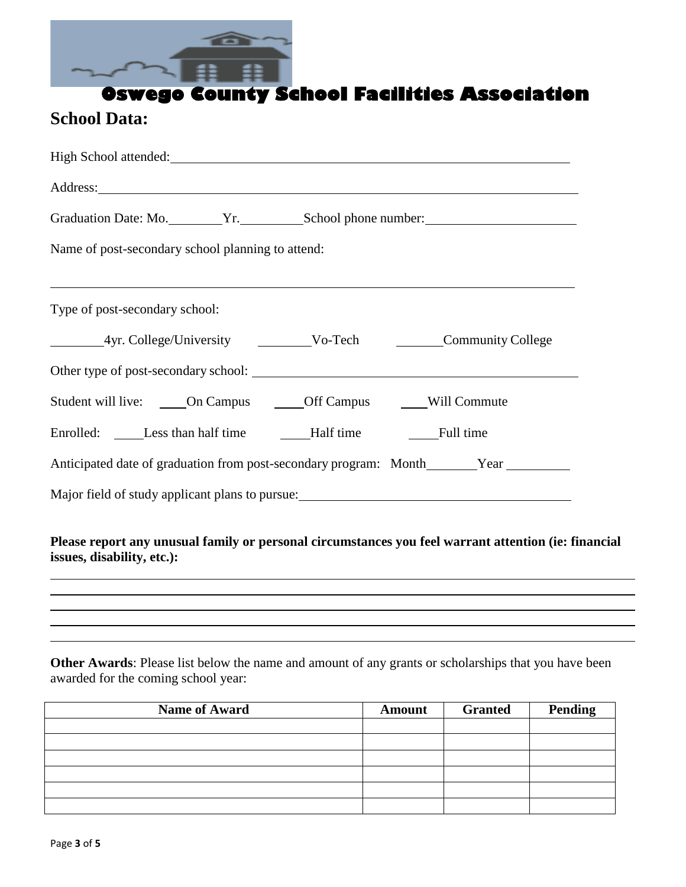

### **School Data:**

|                                                   | High School attended:<br><u>International</u>                            |
|---------------------------------------------------|--------------------------------------------------------------------------|
|                                                   |                                                                          |
|                                                   | Graduation Date: Mo. Vr. School phone number:                            |
| Name of post-secondary school planning to attend: |                                                                          |
|                                                   |                                                                          |
| Type of post-secondary school:                    |                                                                          |
|                                                   |                                                                          |
|                                                   |                                                                          |
|                                                   | Student will live: ______On Campus _______Off Campus _______Will Commute |
|                                                   |                                                                          |
|                                                   |                                                                          |
|                                                   |                                                                          |
|                                                   |                                                                          |

#### **Please report any unusual family or personal circumstances you feel warrant attention (ie: financial issues, disability, etc.):**

#### **Other Awards**: Please list below the name and amount of any grants or scholarships that you have been awarded for the coming school year:

| <b>Name of Award</b> | <b>Amount</b> | <b>Granted</b> | <b>Pending</b> |
|----------------------|---------------|----------------|----------------|
|                      |               |                |                |
|                      |               |                |                |
|                      |               |                |                |
|                      |               |                |                |
|                      |               |                |                |
|                      |               |                |                |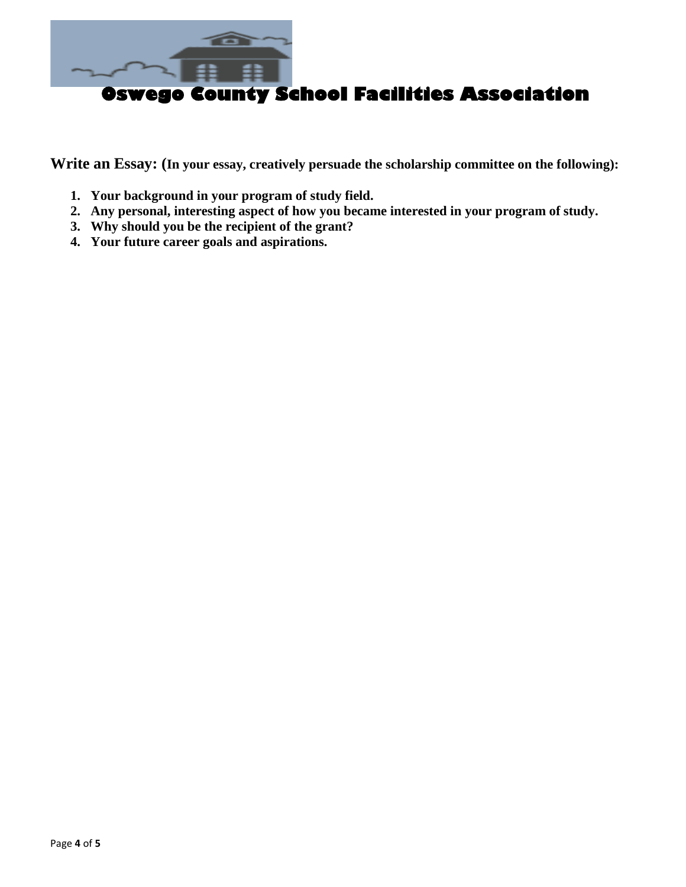

**Write an Essay: (In your essay, creatively persuade the scholarship committee on the following):**

- **1. Your background in your program of study field.**
- **2. Any personal, interesting aspect of how you became interested in your program of study.**
- **3. Why should you be the recipient of the grant?**
- **4. Your future career goals and aspirations.**